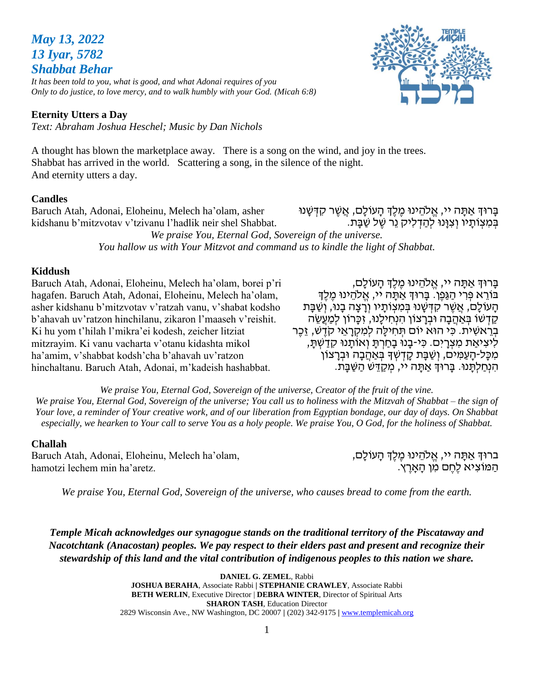# *May 13, 2022 13 Iyar, 5782 Shabbat Behar*

*It has been told to you, what is good, and what Adonai requires of you Only to do justice, to love mercy, and to walk humbly with your God. (Micah 6:8)*

#### **Eternity Utters a Day**

*Text: Abraham Joshua Heschel; Music by Dan Nichols*

A thought has blown the marketplace away. There is a song on the wind, and joy in the trees. Shabbat has arrived in the world. Scattering a song, in the silence of the night. And eternity utters a day.

#### **Candles**

Baruch Atah, Adonai, Eloheinu, Melech ha'olam, asher kidshanu b'mitzvotav v'tzivanu l'hadlik neir shel Shabbat.

ּ בִּמְצְוֹתֵיו וְצְוּּנוּ לְהַדְּלִיק נֵר שֶׁל שַׁבֵּת. *We praise You, Eternal God, Sovereign of the universe. You hallow us with Your Mitzvot and command us to kindle the light of Shabbat.*

#### **Kiddush**

Baruch Atah, Adonai, Eloheinu, Melech ha'olam, borei p'ri hagafen. Baruch Atah, Adonai, Eloheinu, Melech ha'olam, asher kidshanu b'mitzvotav v'ratzah vanu, v'shabat kodsho b'ahavah uv'ratzon hinchilanu, zikaron l'maaseh v'reishit. Ki hu yom t'hilah l'mikra'ei kodesh, zeicher litziat mitzrayim. Ki vanu vacharta v'otanu kidashta mikol ha'amim, v'shabbat kodsh'cha b'ahavah uv'ratzon hinchaltanu. Baruch Atah, Adonai, m'kadeish hashabbat.

ָבָּרוּךְ אַתָּה יי, אֱלֹהֶינוּ מֶלֶךְ הָעוֹלָם, בּוֹרֵא פִּרְי הַגַּפֵן. בָּרוּךְּ אַתָּה יי, אֱלֹהֵינוּ מֵלֵךְ הַעוֹלַם, אֲשֶׁר קִדְּשָׁנוּ בְּמִצְוֹתֵּיו וְרַצָּה בָנוּ, וְשַׁבַּת ְקַדָּשׁוֹ בְּאַחֲבָה וּבְרָצוֹן הָנְחֵילֵנוּ, זִכְּרוֹן לִמְעֵשֶׂה בְרֵאשִׁית. כִּי הוּא יוֹם תִּחִילַה לִמְקָרָאֵי קֹדֶשׁ, זֶכֶר לִיצִיאַת מִצְרָיִם. כִּי-בָנוּ בָחַרְתָּ וְאוֹתָנוּ קִדַשְׁתָּ, מִכָּל-הַעֲמִים, וְשַׁבַּת קַדְשְׁדָּ בְּאַחֲבָה וּבְרַצוֹן הִ נְּחַ לְּתָּ נּו. בָּרּוְך אַ תָּ ה יי, מְּ קַ דֵ ש הַ שַ בָּ ת.

בָּרוּדְ אַתָּה יי, אֱלֹהֵינוּ מֵלֵדְ הָעוֹלָם, אֲשֶׁר קִדְּשָּׁנוּ

*We praise You, Eternal God, Sovereign of the universe, Creator of the fruit of the vine. We praise You, Eternal God, Sovereign of the universe; You call us to holiness with the Mitzvah of Shabbat – the sign of Your love, a reminder of Your creative work, and of our liberation from Egyptian bondage, our day of days. On Shabbat especially, we hearken to Your call to serve You as a holy people. We praise You, O God, for the holiness of Shabbat.*

#### **Challah**

Baruch Atah, Adonai, Eloheinu, Melech ha'olam, hamotzi lechem min ha'aretz.

ברוּךְ אַתָּה יי, אֱלֹהֵינוּ מֶלֶךְ הָעוֹלָם, הַ מֹוצִ יא לֶחֶ ם מִ ן הָּ אָּ רֶ ץ.

*We praise You, Eternal God, Sovereign of the universe, who causes bread to come from the earth.*

*Temple Micah acknowledges our synagogue stands on the traditional territory of the Piscataway and Nacotchtank (Anacostan) peoples. We pay respect to their elders past and present and recognize their stewardship of this land and the vital contribution of indigenous peoples to this nation we share.*

> **DANIEL G. ZEMEL**, Rabbi **JOSHUA BERAHA**, Associate Rabbi **| STEPHANIE CRAWLEY**, Associate Rabbi **BETH WERLIN**, Executive Director | **DEBRA WINTER**, Director of Spiritual Arts **SHARON TASH**, Education Director 2829 Wisconsin Ave., NW Washington, DC 20007 **|** (202) 342-9175 **|** [www.templemicah.org](http://www.templemicah.org/)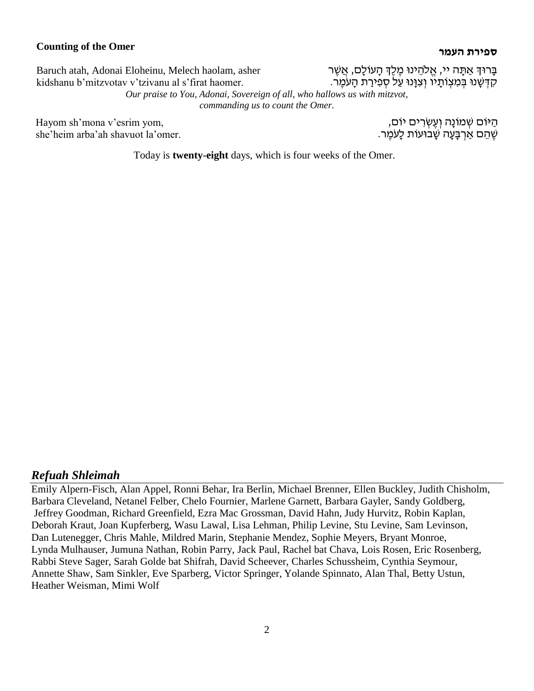# **העמר ספירת Counting of the Omer**

Baruch atah, Adonai Eloheinu, Melech haolam, asher kidshanu b'mitzvotav v'tzivanu al s'firat haomer.

Hayom sh'mona v'esrim yom, she'heim arba'ah shavuot la'omer. ָבָרוּדְ אַתָּה יי, אֱלֹהֵינוּ מֶלֶדְ הָעוֹלָם, אֲשֶׁר ּ קִדְּשָׁנוּ בְּמִצְוֹתַיו וְצְוַּנוּ עַל סְפִירַת הַעֹּמֶר.

*Our praise to You, Adonai, Sovereign of all, who hallows us with mitzvot, commanding us to count the Omer.*

> הַ ּיֹום שְּ מֹונָּה וְּ עֶ שְּ רִ ים יֹום, ְשֶׁ הֶם אַרְבַּעָה שַׁבוּעוֹת לָעֹמֶר.

Today is **twenty-eight** days, which is four weeks of the Omer.

#### *Refuah Shleimah*

Emily Alpern-Fisch, Alan Appel, Ronni Behar, Ira Berlin, Michael Brenner, Ellen Buckley, Judith Chisholm, Barbara Cleveland, Netanel Felber, Chelo Fournier, Marlene Garnett, Barbara Gayler, Sandy Goldberg, Jeffrey Goodman, Richard Greenfield, Ezra Mac Grossman, David Hahn, Judy Hurvitz, Robin Kaplan, Deborah Kraut, Joan Kupferberg, Wasu Lawal, Lisa Lehman, Philip Levine, Stu Levine, Sam Levinson, Dan Lutenegger, Chris Mahle, Mildred Marin, Stephanie Mendez, Sophie Meyers, Bryant Monroe, Lynda Mulhauser, Jumuna Nathan, Robin Parry, Jack Paul, Rachel bat Chava, Lois Rosen, Eric Rosenberg, Rabbi Steve Sager, Sarah Golde bat Shifrah, David Scheever, Charles Schussheim, Cynthia Seymour, Annette Shaw, Sam Sinkler, Eve Sparberg, Victor Springer, Yolande Spinnato, Alan Thal, Betty Ustun, Heather Weisman, Mimi Wolf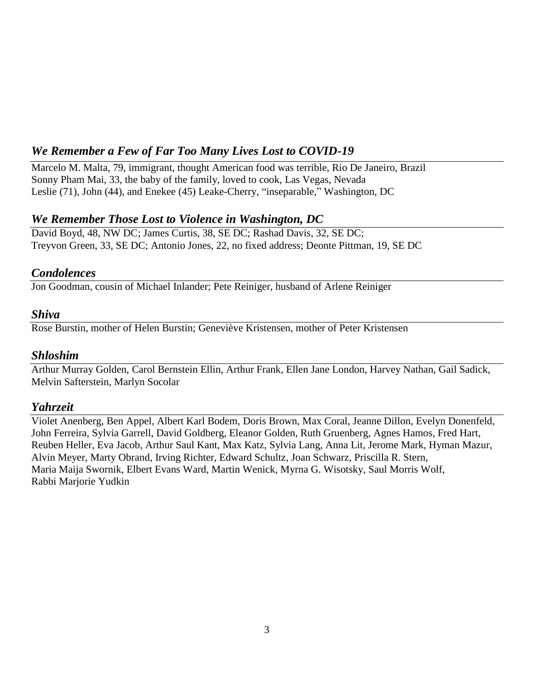# *We Remember a Few of Far Too Many Lives Lost to COVID-19*

Marcelo M. Malta, 79, immigrant, thought American food was terrible, Rio De Janeiro, Brazil Sonny Pham Mai, 33, the baby of the family, loved to cook, Las Vegas, Nevada Leslie (71), John (44), and Enekee (45) Leake-Cherry, "inseparable," Washington, DC

# *We Remember Those Lost to Violence in Washington, DC*

David Boyd, 48, NW DC; James Curtis, 38, SE DC; Rashad Davis, 32, SE DC; Treyvon Green, 33, SE DC; Antonio Jones, 22, no fixed address; Deonte Pittman, 19, SE DC

# *Condolences*

Jon Goodman, cousin of Michael Inlander; Pete Reiniger, husband of Arlene Reiniger

# *Shiva*

Rose Burstin, mother of Helen Burstin; Geneviève Kristensen, mother of Peter Kristensen

# *Shloshim*

Arthur Murray Golden, Carol Bernstein Ellin, Arthur Frank, Ellen Jane London, Harvey Nathan, Gail Sadick, Melvin Safterstein, Marlyn Socolar

# *Yahrzeit*

Violet Anenberg, Ben Appel, Albert Karl Bodem, Doris Brown, Max Coral, Jeanne Dillon, Evelyn Donenfeld, John Ferreira, Sylvia Garrell, David Goldberg, Eleanor Golden, Ruth Gruenberg, Agnes Hamos, Fred Hart, Reuben Heller, Eva Jacob, Arthur Saul Kant, Max Katz, Sylvia Lang, Anna Lit, Jerome Mark, Hyman Mazur, Alvin Meyer, Marty Obrand, Irving Richter, Edward Schultz, Joan Schwarz, Priscilla R. Stern, Maria Maija Swornik, Elbert Evans Ward, Martin Wenick, Myrna G. Wisotsky, Saul Morris Wolf, Rabbi Marjorie Yudkin